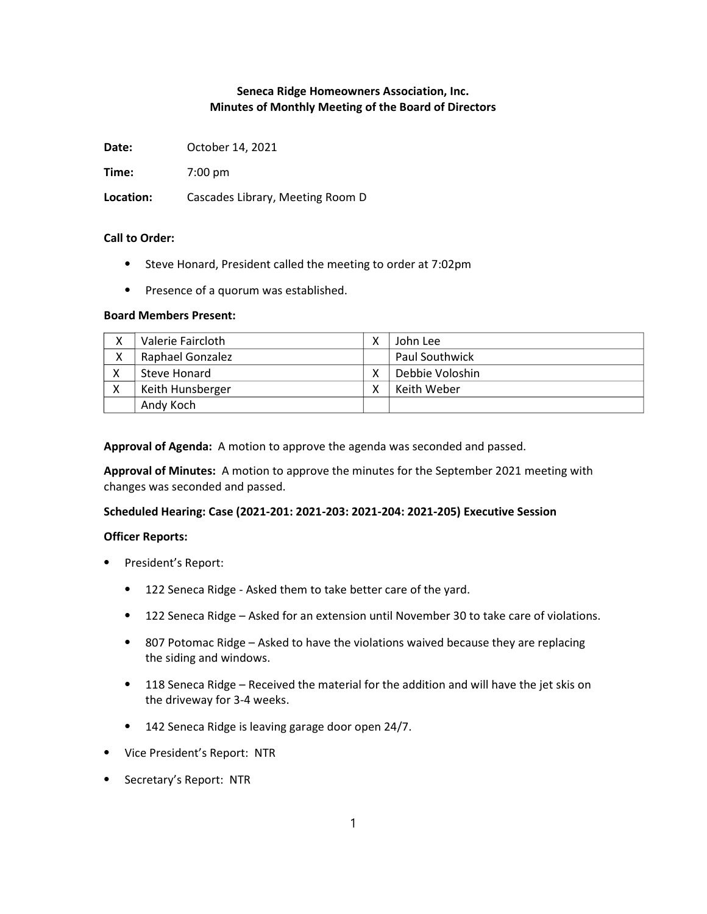# Seneca Ridge Homeowners Association, Inc. Minutes of Monthly Meeting of the Board of Directors

Date: October 14, 2021

Time: 7:00 pm

Location: Cascades Library, Meeting Room D

### Call to Order:

- ⦁ Steve Honard, President called the meeting to order at 7:02pm
- ⦁ Presence of a quorum was established.

#### Board Members Present:

| v<br>⋏ | Valerie Faircloth | John Lee        |
|--------|-------------------|-----------------|
| Χ      | Raphael Gonzalez  | Paul Southwick  |
|        | Steve Honard      | Debbie Voloshin |
|        | Keith Hunsberger  | Keith Weber     |
|        | Andy Koch         |                 |

Approval of Agenda: A motion to approve the agenda was seconded and passed.

Approval of Minutes: A motion to approve the minutes for the September 2021 meeting with changes was seconded and passed.

### Scheduled Hearing: Case (2021-201: 2021-203: 2021-204: 2021-205) Executive Session

### Officer Reports:

- ⦁ President's Report:
	- ⦁ 122 Seneca Ridge Asked them to take better care of the yard.
	- ⦁ 122 Seneca Ridge Asked for an extension until November 30 to take care of violations.
	- ⦁ 807 Potomac Ridge Asked to have the violations waived because they are replacing the siding and windows.
	- ⦁ 118 Seneca Ridge Received the material for the addition and will have the jet skis on the driveway for 3-4 weeks.
	- ⦁ 142 Seneca Ridge is leaving garage door open 24/7.
- ⦁ Vice President's Report: NTR
- ⦁ Secretary's Report: NTR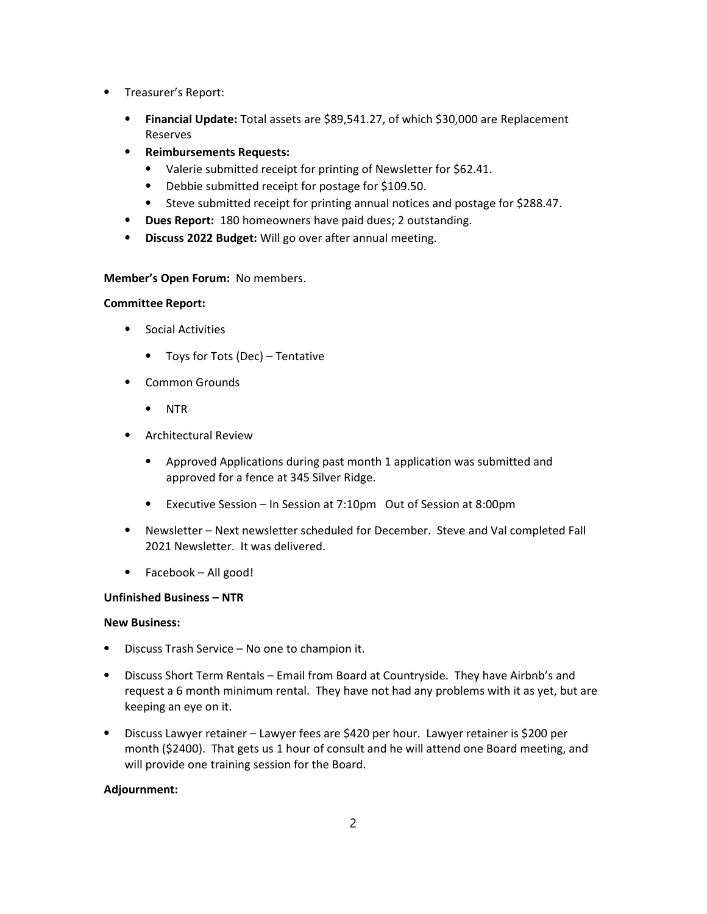- ⦁ Treasurer's Report:
	- Financial Update: Total assets are \$89,541.27, of which \$30,000 are Replacement Reserves
	- ⦁ Reimbursements Requests:
		- ⦁ Valerie submitted receipt for printing of Newsletter for \$62.41.
		- ⦁ Debbie submitted receipt for postage for \$109.50.
		- ⦁ Steve submitted receipt for printing annual notices and postage for \$288.47.
	- ⦁ Dues Report: 180 homeowners have paid dues; 2 outstanding.
	- ⦁ Discuss 2022 Budget: Will go over after annual meeting.

## Member's Open Forum: No members.

## Committee Report:

- ⦁ Social Activities
	- ⦁ Toys for Tots (Dec) Tentative
- ⦁ Common Grounds
	- ⦁ NTR
- ⦁ Architectural Review
	- ⦁ Approved Applications during past month 1 application was submitted and approved for a fence at 345 Silver Ridge.
	- ⦁ Executive Session In Session at 7:10pm Out of Session at 8:00pm
- ⦁ Newsletter Next newsletter scheduled for December. Steve and Val completed Fall 2021 Newsletter. It was delivered.
- ⦁ Facebook All good!

# Unfinished Business – NTR

# New Business:

- Discuss Trash Service No one to champion it.
- ⦁ Discuss Short Term Rentals Email from Board at Countryside. They have Airbnb's and request a 6 month minimum rental. They have not had any problems with it as yet, but are keeping an eye on it.
- ⦁ Discuss Lawyer retainer Lawyer fees are \$420 per hour. Lawyer retainer is \$200 per month (\$2400). That gets us 1 hour of consult and he will attend one Board meeting, and will provide one training session for the Board.

# Adjournment: